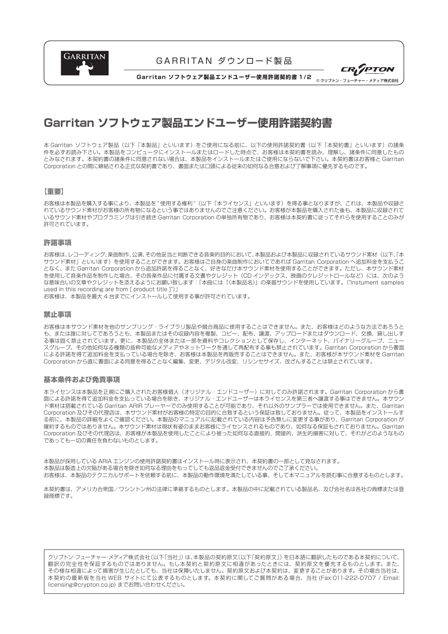

# GARRITAN ダウンロード製品



**Garritan ソフトウェア製品エンドユーザー使用許諾契約書 1/2**

# **Garritan ソフトウェア製品エンドユーザー使用許諾契約書**

本 Garritan ソフトウェア製品(以下「本製品」といいます)をご使用になる前に、以下の使用許諾契約書(以下「本契約書」といいます)の諸条 件を必ずお読み下さい。本製品をコンピュータにインストールまたはロードした時点で、お客様は本契約書を読み、理解し、諸条件に同意したもの とみなされます。本契約書の諸条件に同意されない場合は、本製品をインストールまたはご使用にならないで下さい。本契約書はお客様と Garritan Corporation との間に締結される正式な契約書であり、書面または口頭による従来の如何なる合意および了解事項に優先するものです。

### 【重要】

お客様は本製品を購入する事により、本製品を " 使用する権利 " (以下「本ライヤンス」といいます) を得る事となりますが、これは、本製品や収録さ れているサウンド素材がお客様の所有物になるという事ではありませんのでご注意ください。お客様が本製品を購入された後も、本製品に収録されて いるサウンド素材やプログラミングは引き続き Garritan Corporation の単独所有物であり、お客様は本契約書に従ってそれらを使用することのみが 許可されています。

### 許諾事項

お客様は、レコーディング、楽曲制作、公演、その他妥当と判断できる音楽的目的において、本製品および本製品に収録されているサウンド素材(以下、「本 サウンド素材」といいます)を使用することができます。お客様はご自身の楽曲制作においてであれば Garritan Corporation へ追加料金を支払うこ となく、また Garritan Corporation から追加許諾を得ることなく、好きなだけ本サウンド素材を使用することができます。ただし、本サウンド素材 を使用して音楽作品を制作した場合、その音楽作品に付属する文書やクレジット(CD インデックス、映画のクレジットロールなど)には、次のよう な意味合いの文章やクレジットを添えるようにお願い致します:「本曲には『(本製品名)』の楽器サウンドを使用しています。("Instument samples used in this recording are from [ product title ]")」

お客様は、本製品を最大 4 台までにインストールして使用する事が許可されています。

### 禁止事項

お客様は本サウンド素材を他のサンプリング・ライブラリ製品や競合商品に使用することはできません。また、お客様はどのような方法であろうと も、または誰に対してであろうとも、本製品またはその収録内容を複製、コピー、配布、譲渡、アップロードまたはダウンロード、交換、貸し出しす る事は固く禁止されています。更に、本製品の全体または一部を資料やコレクションとして保存し、インターネット、バイナリーグループ、ニュー スグループ、その他如何なる種類の抜粋可能なメディアやネットワークを通して再配布する事も禁止されています。Garritan Corporation から書面 による許諾を得て追加料金を支払っている場合を除き、お客様は本製品を再販売することはできません。また、お客様が本サウンド素材を Garritan Corporation から直に書面による同意を得ることなく編集、変更、デジタル改変、リシンセサイズ、改ざんすることは禁止されています。

#### 基本条件および免責事項

本ライセンスは本製品を正規にご購入されたお客様個人(オリジナル・エンドユーザー)に対してのみ許諾されます。Garritan Corporation から書 面による許諾を得て追加料金を支払っている場合を除き、オリジナル・エンドユーザーは本ライセンスを第三者へ譲渡する事はできません。本サウン ド素材は搭載されている Garritan ARIR プレーヤーでのみ使用することが可能であり、それ以外のサンプラーでは使用できません。また、Garritan Corporation 及びその代理店は、本サウンド素材がお客様の特定の目的に合致するという保証は致しておりません。従って、本製品をインストールす る前に、本製品の詳細をよくご確認ください。本製品のマニュアルに記載されている内容は予告無しに変更する事があり、Garritan Corporation が 確約するものではありません。本サウンド素材は現状有姿のままお客様にライセンスされるものであり、如何なる保証もされておりません。Garritan Corporation 及びその代理店は、お客様が本製品を使用したことにより被った如何なる直接的、間接的、派生的損害に対して、それがどのようなもの であっても一切の責任を負わないものとします。

本製品が採用している ARIA エンジンの使用許諾契約書はインストール時に表示され、本契約書の一部として見なされます。 本製品は製造上の欠陥がある場合を除き如何なる理由をもってしても返品返金受付できませんのでご了承ください。 お客様は、本製品のテクニカルサポートを依頼する前に、本製品の動作環境を満たしている事、そして本マニュアルを読む事に合意するものとします。

本契約書は、アメリカ合衆国/ワシントン州の法律に準拠するものとします。本製品の中に記載されている製品名、及び会社名は各社の商標または登 録商標です。

クリプトン・フューチャー・メディア株式会社(以下「当社」)は、本製品の契約原文(以下「契約原文」)を日本語に翻訳したものである本契約について、 翻訳の完全性を保証するものではありません。もし本契約と契約原文に相違があったときには、契約原文を優先するものとします。また、 その様な相違によって損害が生じたとしても、当社は保障いたしません。契約原文および本契約は、変更することがあります。その場合当社は、 本契約の最新版を当社 WEB サイトにて公表するものとします。本契約に関してご質問がある場合、当社 (Fax:011-222-0707 / Email: licensing@crypton.co.jp) までお問い合わせください。